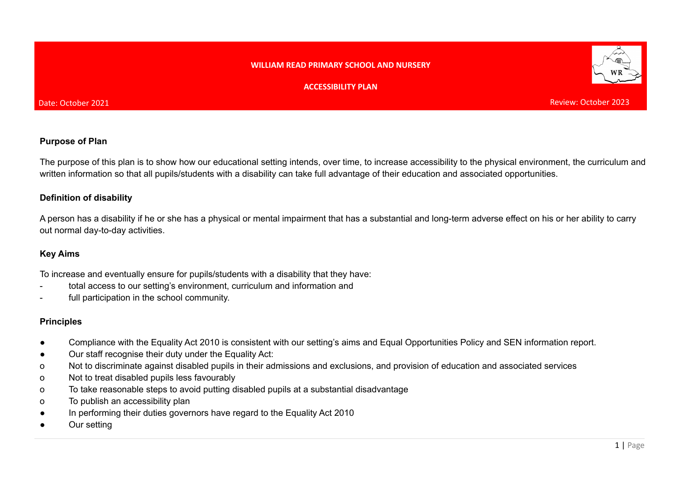#### **WILLIAM READ PRIMARY SCHOOL AND NURSERY**

#### **ACCESSIBILITY PLAN**



Review: October 2023

#### **Purpose of Plan**

The purpose of this plan is to show how our educational setting intends, over time, to increase accessibility to the physical environment, the curriculum and written information so that all pupils/students with a disability can take full advantage of their education and associated opportunities.

### **Definition of disability**

A person has a disability if he or she has a physical or mental impairment that has a substantial and long-term adverse effect on his or her ability to carry out normal day-to-day activities.

## **Key Aims**

To increase and eventually ensure for pupils/students with a disability that they have:

- total access to our setting's environment, curriculum and information and
- full participation in the school community.

## **Principles**

- Compliance with the Equality Act 2010 is consistent with our setting's aims and Equal Opportunities Policy and SEN information report.
- Our staff recognise their duty under the Equality Act:
- o Not to discriminate against disabled pupils in their admissions and exclusions, and provision of education and associated services
- o Not to treat disabled pupils less favourably
- o To take reasonable steps to avoid putting disabled pupils at a substantial disadvantage
- o To publish an accessibility plan
- In performing their duties governors have regard to the Equality Act 2010
- Our setting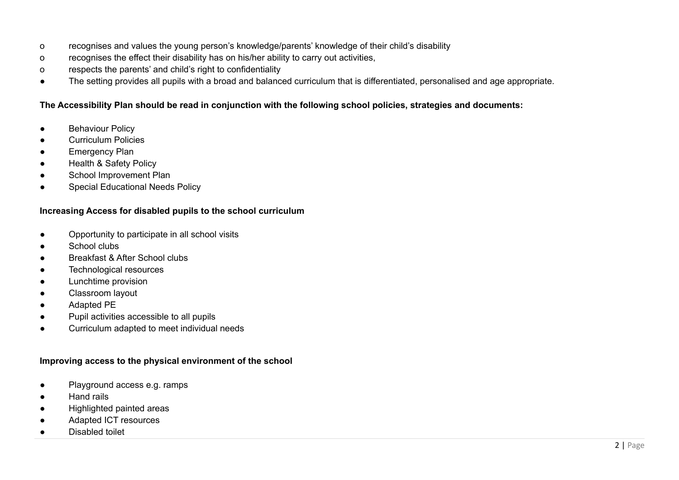- o recognises and values the young person's knowledge/parents' knowledge of their child's disability
- o recognises the effect their disability has on his/her ability to carry out activities,
- o respects the parents' and child's right to confidentiality
- The setting provides all pupils with a broad and balanced curriculum that is differentiated, personalised and age appropriate.

## The Accessibility Plan should be read in conjunction with the following school policies, strategies and documents:

- **•** Behaviour Policy
- Curriculum Policies
- Emergency Plan
- Health & Safety Policy
- School Improvement Plan
- Special Educational Needs Policy

# **Increasing Access for disabled pupils to the school curriculum**

- Opportunity to participate in all school visits
- School clubs
- Breakfast & After School clubs
- Technological resources
- Lunchtime provision
- Classroom layout
- Adapted PE
- Pupil activities accessible to all pupils
- Curriculum adapted to meet individual needs

# **Improving access to the physical environment of the school**

- Playground access e.g. ramps
- Hand rails
- Highlighted painted areas
- Adapted ICT resources
- Disabled toilet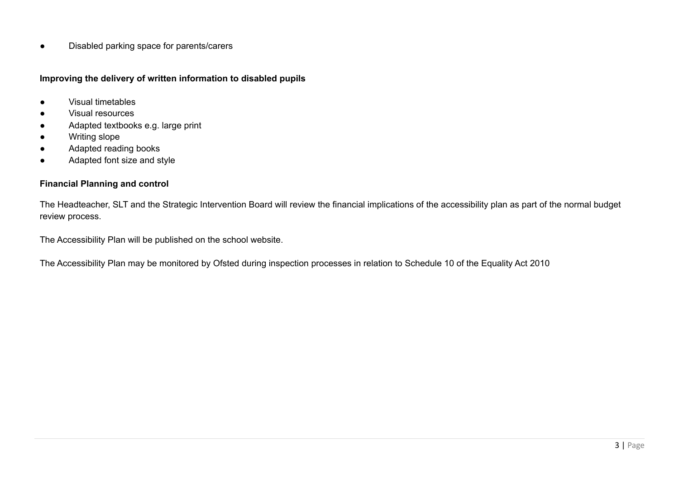● Disabled parking space for parents/carers

**Improving the delivery of written information to disabled pupils**

- Visual timetables
- Visual resources
- Adapted textbooks e.g. large print
- Writing slope
- Adapted reading books
- Adapted font size and style

## **Financial Planning and control**

The Headteacher, SLT and the Strategic Intervention Board will review the financial implications of the accessibility plan as part of the normal budget review process.

The Accessibility Plan will be published on the school website.

The Accessibility Plan may be monitored by Ofsted during inspection processes in relation to Schedule 10 of the Equality Act 2010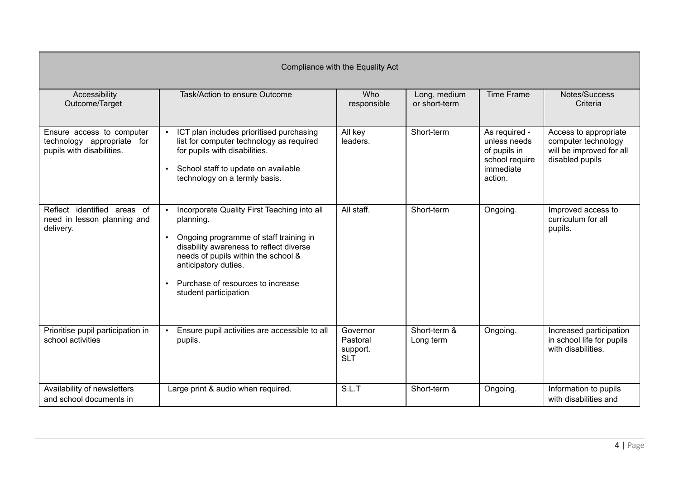| Compliance with the Equality Act                                                     |                                                                                                                                                                                                                                                                              |                                                |                               |                                                                                         |                                                                                             |  |
|--------------------------------------------------------------------------------------|------------------------------------------------------------------------------------------------------------------------------------------------------------------------------------------------------------------------------------------------------------------------------|------------------------------------------------|-------------------------------|-----------------------------------------------------------------------------------------|---------------------------------------------------------------------------------------------|--|
| Accessibility<br>Outcome/Target                                                      | Task/Action to ensure Outcome                                                                                                                                                                                                                                                | Who<br>responsible                             | Long, medium<br>or short-term | <b>Time Frame</b>                                                                       | Notes/Success<br>Criteria                                                                   |  |
| Ensure access to computer<br>technology appropriate for<br>pupils with disabilities. | ICT plan includes prioritised purchasing<br>list for computer technology as required<br>for pupils with disabilities.<br>• School staff to update on available<br>technology on a termly basis.                                                                              | All key<br>leaders.                            | Short-term                    | As required -<br>unless needs<br>of pupils in<br>school require<br>immediate<br>action. | Access to appropriate<br>computer technology<br>will be improved for all<br>disabled pupils |  |
| Reflect identified areas of<br>need in lesson planning and<br>delivery.              | Incorporate Quality First Teaching into all<br>planning.<br>Ongoing programme of staff training in<br>disability awareness to reflect diverse<br>needs of pupils within the school &<br>anticipatory duties.<br>• Purchase of resources to increase<br>student participation | All staff.                                     | Short-term                    | Ongoing.                                                                                | Improved access to<br>curriculum for all<br>pupils.                                         |  |
| Prioritise pupil participation in<br>school activities                               | Ensure pupil activities are accessible to all<br>pupils.                                                                                                                                                                                                                     | Governor<br>Pastoral<br>support.<br><b>SLT</b> | Short-term &<br>Long term     | Ongoing.                                                                                | Increased participation<br>in school life for pupils<br>with disabilities.                  |  |
| Availability of newsletters<br>and school documents in                               | Large print & audio when required.                                                                                                                                                                                                                                           | S.L.T                                          | Short-term                    | Ongoing.                                                                                | Information to pupils<br>with disabilities and                                              |  |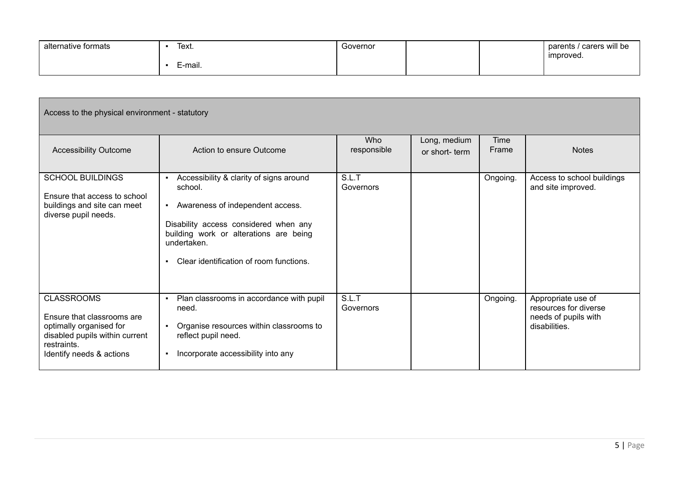| alternative formats | Text.    | Governor |  | carers will be<br>parents |
|---------------------|----------|----------|--|---------------------------|
|                     | '--mail. |          |  | ' improved.               |

| Access to the physical environment - statutory                                                                                                          |                                                                                                                                                                                                                                                         |                    |                               |               |                                                                                      |  |  |
|---------------------------------------------------------------------------------------------------------------------------------------------------------|---------------------------------------------------------------------------------------------------------------------------------------------------------------------------------------------------------------------------------------------------------|--------------------|-------------------------------|---------------|--------------------------------------------------------------------------------------|--|--|
| <b>Accessibility Outcome</b>                                                                                                                            | Action to ensure Outcome                                                                                                                                                                                                                                | Who<br>responsible | Long, medium<br>or short-term | Time<br>Frame | <b>Notes</b>                                                                         |  |  |
| <b>SCHOOL BUILDINGS</b><br>Ensure that access to school<br>buildings and site can meet<br>diverse pupil needs.                                          | Accessibility & clarity of signs around<br>school.<br>- Awareness of independent access.<br>Disability access considered when any<br>building work or alterations are being<br>undertaken.<br>Clear identification of room functions.<br>$\blacksquare$ | S.L.T<br>Governors |                               | Ongoing.      | Access to school buildings<br>and site improved.                                     |  |  |
| <b>CLASSROOMS</b><br>Ensure that classrooms are<br>optimally organised for<br>disabled pupils within current<br>restraints.<br>Identify needs & actions | Plan classrooms in accordance with pupil<br>need.<br>Organise resources within classrooms to<br>reflect pupil need.<br>Incorporate accessibility into any                                                                                               | S.L.T<br>Governors |                               | Ongoing.      | Appropriate use of<br>resources for diverse<br>needs of pupils with<br>disabilities. |  |  |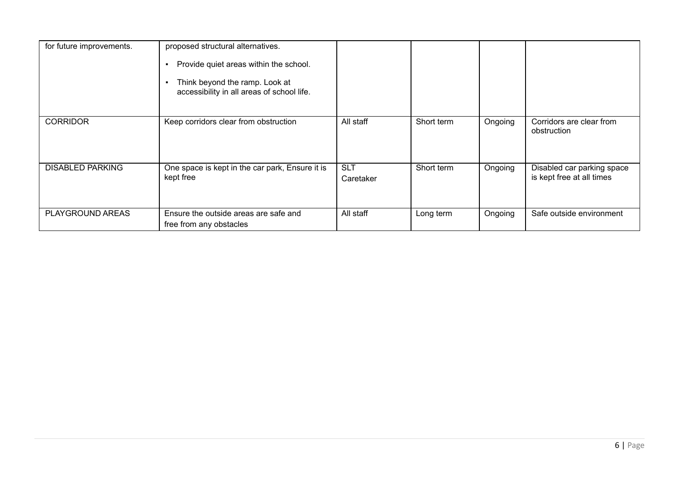| for future improvements. | proposed structural alternatives.<br>Provide quiet areas within the school.<br>Think beyond the ramp. Look at<br>accessibility in all areas of school life. |                         |            |         |                                                         |
|--------------------------|-------------------------------------------------------------------------------------------------------------------------------------------------------------|-------------------------|------------|---------|---------------------------------------------------------|
| <b>CORRIDOR</b>          | Keep corridors clear from obstruction                                                                                                                       | All staff               | Short term | Ongoing | Corridors are clear from<br>obstruction                 |
| <b>DISABLED PARKING</b>  | One space is kept in the car park, Ensure it is<br>kept free                                                                                                | <b>SLT</b><br>Caretaker | Short term | Ongoing | Disabled car parking space<br>is kept free at all times |
| <b>PLAYGROUND AREAS</b>  | Ensure the outside areas are safe and<br>free from any obstacles                                                                                            | All staff               | Long term  | Ongoing | Safe outside environment                                |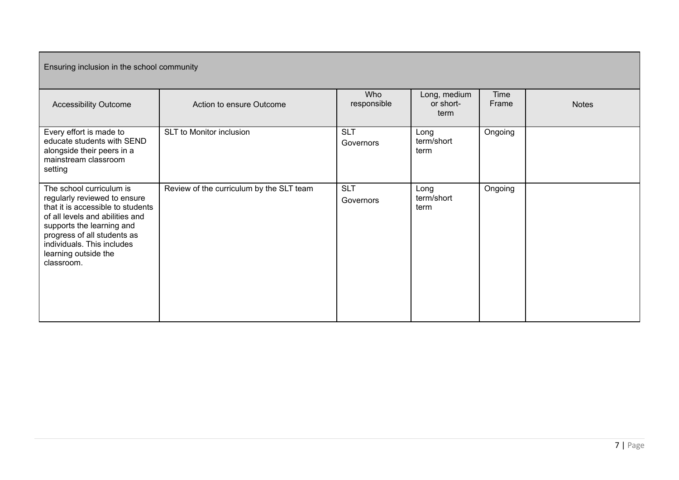| Ensuring inclusion in the school community                                                                                                                                                                                                                       |                                          |                         |                                   |               |              |  |
|------------------------------------------------------------------------------------------------------------------------------------------------------------------------------------------------------------------------------------------------------------------|------------------------------------------|-------------------------|-----------------------------------|---------------|--------------|--|
| <b>Accessibility Outcome</b>                                                                                                                                                                                                                                     | Action to ensure Outcome                 | Who<br>responsible      | Long, medium<br>or short-<br>term | Time<br>Frame | <b>Notes</b> |  |
| Every effort is made to<br>educate students with SEND<br>alongside their peers in a<br>mainstream classroom<br>setting                                                                                                                                           | <b>SLT</b> to Monitor inclusion          | <b>SLT</b><br>Governors | Long<br>term/short<br>term        | Ongoing       |              |  |
| The school curriculum is<br>regularly reviewed to ensure<br>that it is accessible to students<br>of all levels and abilities and<br>supports the learning and<br>progress of all students as<br>individuals. This includes<br>learning outside the<br>classroom. | Review of the curriculum by the SLT team | <b>SLT</b><br>Governors | Long<br>term/short<br>term        | Ongoing       |              |  |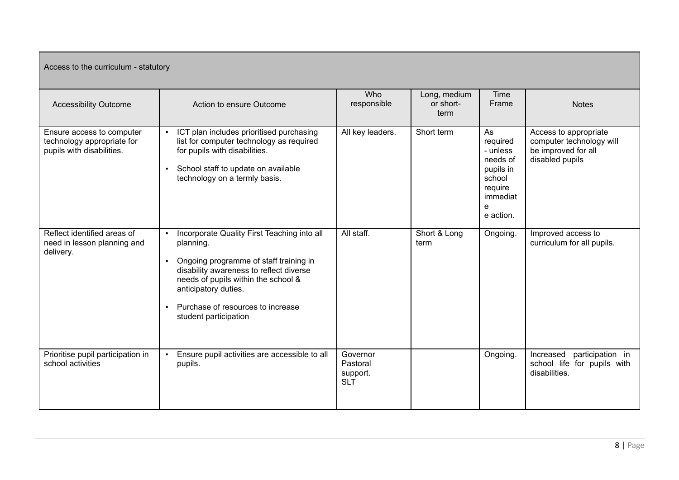| Access to the curriculum - statutory                                                 |                                                                                                                                                                                                                                                                            |                                                |                                   |                                                                                                        |                                                                                             |  |  |
|--------------------------------------------------------------------------------------|----------------------------------------------------------------------------------------------------------------------------------------------------------------------------------------------------------------------------------------------------------------------------|------------------------------------------------|-----------------------------------|--------------------------------------------------------------------------------------------------------|---------------------------------------------------------------------------------------------|--|--|
| <b>Accessibility Outcome</b>                                                         | Action to ensure Outcome                                                                                                                                                                                                                                                   | Who<br>responsible                             | Long, medium<br>or short-<br>term | Time<br>Frame                                                                                          | <b>Notes</b>                                                                                |  |  |
| Ensure access to computer<br>technology appropriate for<br>pupils with disabilities. | ICT plan includes prioritised purchasing<br>list for computer technology as required<br>for pupils with disabilities.<br>School staff to update on available<br>$\blacksquare$<br>technology on a termly basis.                                                            | All key leaders.                               | Short term                        | As<br>required<br>- unless<br>needs of<br>pupils in<br>school<br>require<br>immediat<br>e<br>e action. | Access to appropriate<br>computer technology will<br>be improved for all<br>disabled pupils |  |  |
| Reflect identified areas of<br>need in lesson planning and<br>delivery.              | Incorporate Quality First Teaching into all<br>planning.<br>Ongoing programme of staff training in<br>disability awareness to reflect diverse<br>needs of pupils within the school &<br>anticipatory duties.<br>Purchase of resources to increase<br>student participation | All staff.                                     | Short & Long<br>term              | Ongoing.                                                                                               | Improved access to<br>curriculum for all pupils.                                            |  |  |
| Prioritise pupil participation in<br>school activities                               | Ensure pupil activities are accessible to all<br>pupils.                                                                                                                                                                                                                   | Governor<br>Pastoral<br>support.<br><b>SLT</b> |                                   | Ongoing.                                                                                               | participation in<br>Increased<br>school life for pupils with<br>disabilities.               |  |  |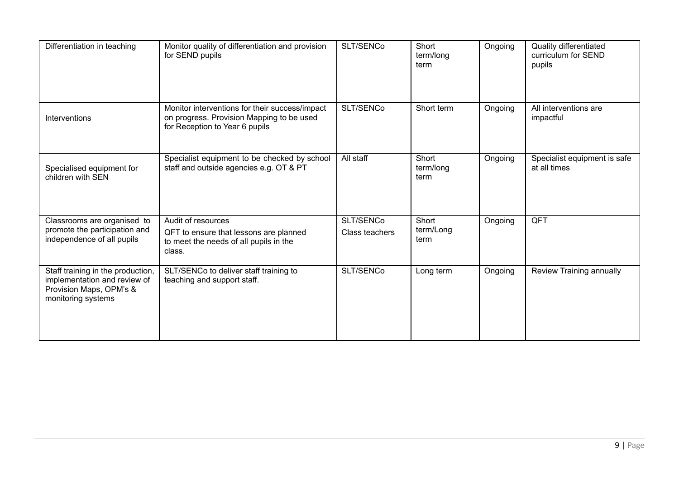| Differentiation in teaching                                                                                        | Monitor quality of differentiation and provision<br>for SEND pupils                                                           | SLT/SENCo                   | Short<br>term/long<br>term | Ongoing | Quality differentiated<br>curriculum for SEND<br>pupils |
|--------------------------------------------------------------------------------------------------------------------|-------------------------------------------------------------------------------------------------------------------------------|-----------------------------|----------------------------|---------|---------------------------------------------------------|
| Interventions                                                                                                      | Monitor interventions for their success/impact<br>on progress. Provision Mapping to be used<br>for Reception to Year 6 pupils | SLT/SENCo                   | Short term                 | Ongoing | All interventions are<br>impactful                      |
| Specialised equipment for<br>children with SEN                                                                     | Specialist equipment to be checked by school<br>staff and outside agencies e.g. OT & PT                                       | All staff                   | Short<br>term/long<br>term | Ongoing | Specialist equipment is safe<br>at all times            |
| Classrooms are organised to<br>promote the participation and<br>independence of all pupils                         | Audit of resources<br>QFT to ensure that lessons are planned<br>to meet the needs of all pupils in the<br>class.              | SLT/SENCo<br>Class teachers | Short<br>term/Long<br>term | Ongoing | QFT                                                     |
| Staff training in the production,<br>implementation and review of<br>Provision Maps, OPM's &<br>monitoring systems | SLT/SENCo to deliver staff training to<br>teaching and support staff.                                                         | SLT/SENCo                   | Long term                  | Ongoing | Review Training annually                                |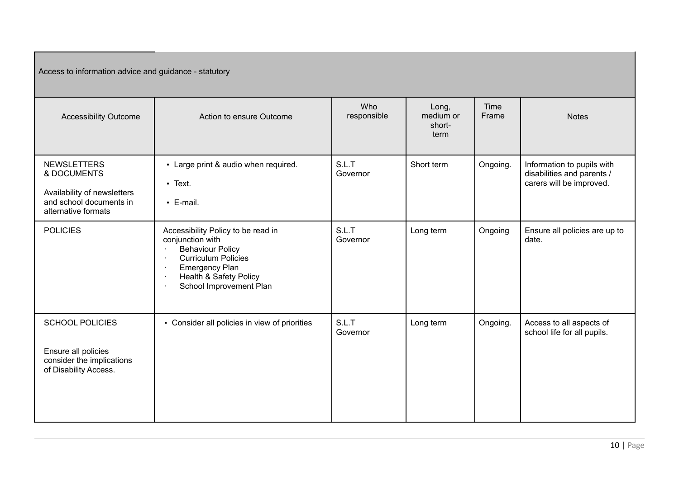Access to information advice and guidance - statutory

| <b>Accessibility Outcome</b>                                                                                       | Action to ensure Outcome                                                                                                                                                                                                  | <b>Who</b><br>responsible | Long,<br>medium or<br>short-<br>term | Time<br>Frame | <b>Notes</b>                                                                         |
|--------------------------------------------------------------------------------------------------------------------|---------------------------------------------------------------------------------------------------------------------------------------------------------------------------------------------------------------------------|---------------------------|--------------------------------------|---------------|--------------------------------------------------------------------------------------|
| <b>NEWSLETTERS</b><br>& DOCUMENTS<br>Availability of newsletters<br>and school documents in<br>alternative formats | - Large print & audio when required.<br>- Text.<br>$-$ E-mail.                                                                                                                                                            | S.L.T<br>Governor         | Short term                           | Ongoing.      | Information to pupils with<br>disabilities and parents /<br>carers will be improved. |
| <b>POLICIES</b>                                                                                                    | Accessibility Policy to be read in<br>conjunction with<br><b>Behaviour Policy</b><br><b>Curriculum Policies</b><br><b>Emergency Plan</b><br>٠.<br><b>Health &amp; Safety Policy</b><br>٠.<br>School Improvement Plan<br>٠ | S.L.T<br>Governor         | Long term                            | Ongoing       | Ensure all policies are up to<br>date.                                               |
| <b>SCHOOL POLICIES</b><br>Ensure all policies<br>consider the implications<br>of Disability Access.                | • Consider all policies in view of priorities                                                                                                                                                                             | S.L.T<br>Governor         | Long term                            | Ongoing.      | Access to all aspects of<br>school life for all pupils.                              |